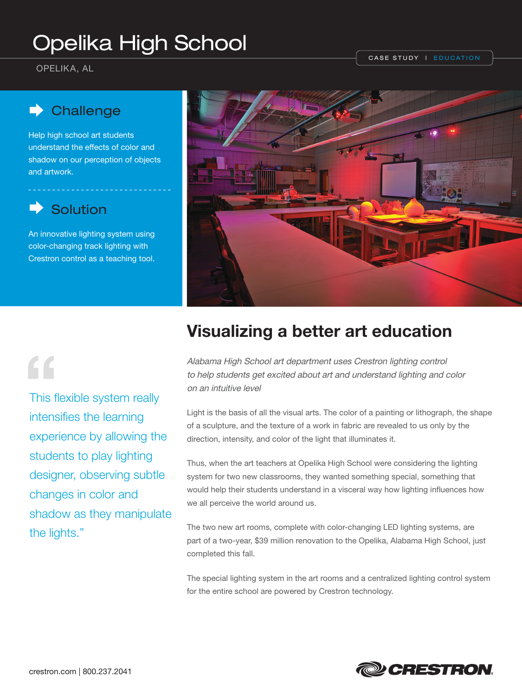## Opelika High School

OPELIKA, AL

#### CASE STUDY | EDUCATION

### **Challenge**

Help high school art students understand the effects of color and shadow on our perception of objects and artwork.

### Solution

An innovative lighting system using color-changing track lighting with Crestron control as a teaching tool.



### **Visualizing a better art education**

Alabama High School art department uses Crestron lighting control to help students get excited about art and understand lighting and color on an intuitive level

Light is the basis of all the visual arts. The color of a painting or lithograph, the shape of a sculpture, and the texture of a work in fabric are revealed to us only by the direction, intensity, and color of the light that illuminates it.

Thus, when the art teachers at Opelika High School were considering the lighting system for two new classrooms, they wanted something special, something that would help their students understand in a visceral way how lighting influences how we all perceive the world around us.

The two new art rooms, complete with color-changing LED lighting systems, are part of a two-year, \$39 million renovation to the Opelika, Alabama High School, just completed this fall.

The special lighting system in the art rooms and a centralized lighting control system for the entire school are powered by Crestron technology.



# **"**

This flexible system really intensifies the learning experience by allowing the students to play lighting designer, observing subtle changes in color and shadow as they manipulate the lights."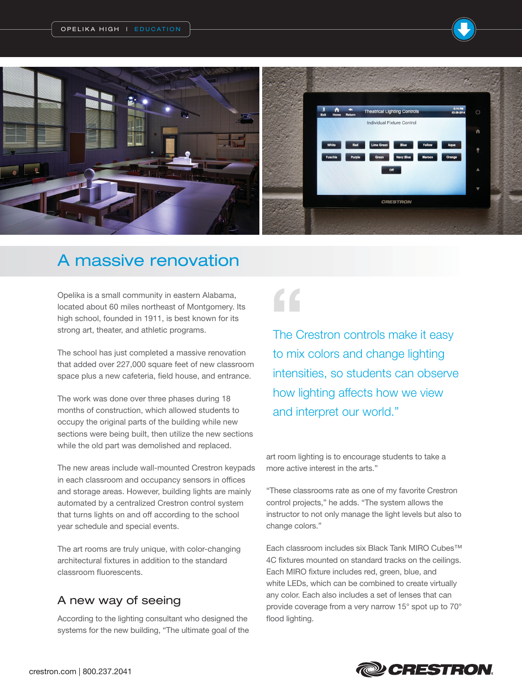

### A massive renovation

Opelika is a small community in eastern Alabama, located about 60 miles northeast of Montgomery. Its high school, founded in 1911, is best known for its strong art, theater, and athletic programs.

The school has just completed a massive renovation that added over 227,000 square feet of new classroom space plus a new cafeteria, field house, and entrance.

The work was done over three phases during 18 months of construction, which allowed students to occupy the original parts of the building while new sections were being built, then utilize the new sections while the old part was demolished and replaced.

The new areas include wall-mounted Crestron keypads in each classroom and occupancy sensors in offices and storage areas. However, building lights are mainly automated by a centralized Crestron control system that turns lights on and off according to the school year schedule and special events.

The art rooms are truly unique, with color-changing architectural fixtures in addition to the standard classroom fluorescents.

#### A new way of seeing

According to the lighting consultant who designed the systems for the new building, "The ultimate goal of the

# **"**

The Crestron controls make it easy to mix colors and change lighting intensities, so students can observe how lighting affects how we view and interpret our world."

art room lighting is to encourage students to take a more active interest in the arts."

"These classrooms rate as one of my favorite Crestron control projects," he adds. "The system allows the instructor to not only manage the light levels but also to change colors."

Each classroom includes six Black Tank MIRO Cubes™ 4C fixtures mounted on standard tracks on the ceilings. Each MIRO fixture includes red, green, blue, and white LEDs, which can be combined to create virtually any color. Each also includes a set of lenses that can provide coverage from a very narrow 15° spot up to 70° flood lighting.